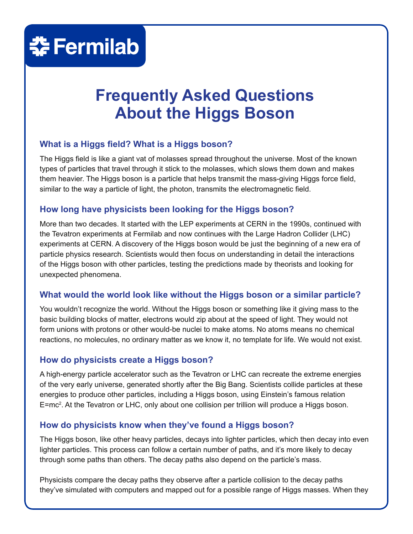## **춘 Fermilab**

### **Frequently Asked Questions About the Higgs Boson**

#### **What is a Higgs field? What is a Higgs boson?**

The Higgs field is like a giant vat of molasses spread throughout the universe. Most of the known types of particles that travel through it stick to the molasses, which slows them down and makes them heavier. The Higgs boson is a particle that helps transmit the mass-giving Higgs force field, similar to the way a particle of light, the photon, transmits the electromagnetic field.

#### **How long have physicists been looking for the Higgs boson?**

More than two decades. It started with the LEP experiments at CERN in the 1990s, continued with the Tevatron experiments at Fermilab and now continues with the Large Hadron Collider (LHC) experiments at CERN. A discovery of the Higgs boson would be just the beginning of a new era of particle physics research. Scientists would then focus on understanding in detail the interactions of the Higgs boson with other particles, testing the predictions made by theorists and looking for unexpected phenomena.

#### **What would the world look like without the Higgs boson or a similar particle?**

You wouldn't recognize the world. Without the Higgs boson or something like it giving mass to the basic building blocks of matter, electrons would zip about at the speed of light. They would not form unions with protons or other would-be nuclei to make atoms. No atoms means no chemical reactions, no molecules, no ordinary matter as we know it, no template for life. We would not exist.

#### **How do physicists create a Higgs boson?**

A high-energy particle accelerator such as the Tevatron or LHC can recreate the extreme energies of the very early universe, generated shortly after the Big Bang. Scientists collide particles at these energies to produce other particles, including a Higgs boson, using Einstein's famous relation E=mc<sup>2</sup>. At the Tevatron or LHC, only about one collision per trillion will produce a Higgs boson.

#### **How do physicists know when they've found a Higgs boson?**

The Higgs boson, like other heavy particles, decays into lighter particles, which then decay into even lighter particles. This process can follow a certain number of paths, and it's more likely to decay through some paths than others. The decay paths also depend on the particle's mass.

Physicists compare the decay paths they observe after a particle collision to the decay paths they've simulated with computers and mapped out for a possible range of Higgs masses. When they